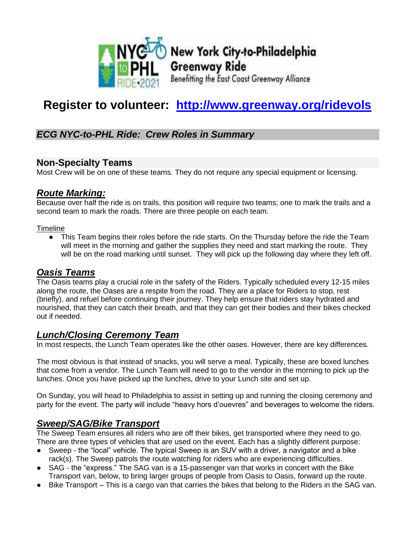

New York City-to-Philadelphia **Greenway Ride** Benefitting the East Coast Greenway Alliance

# **Register to volunteer: <http://www.greenway.org/ridevols>**

## *ECG NYC-to-PHL Ride: Crew Roles in Summary*

## **Non-Specialty Teams**

Most Crew will be on one of these teams. They do not require any special equipment or licensing.

## *Route Marking:*

Because over half the ride is on trails, this position will require two teams; one to mark the trails and a second team to mark the roads. There are three people on each team.

#### Timeline

• This Team begins their roles before the ride starts. On the Thursday before the ride the Team will meet in the morning and gather the supplies they need and start marking the route. They will be on the road marking until sunset. They will pick up the following day where they left off.

## *Oasis Teams*

The Oasis teams play a crucial role in the safety of the Riders. Typically scheduled every 12-15 miles along the route, the Oases are a respite from the road. They are a place for Riders to stop, rest (briefly), and refuel before continuing their journey. They help ensure that riders stay hydrated and nourished, that they can catch their breath, and that they can get their bodies and their bikes checked out if needed.

## *Lunch/Closing Ceremony Team*

In most respects, the Lunch Team operates like the other oases. However, there are key differences.

The most obvious is that instead of snacks, you will serve a meal. Typically, these are boxed lunches that come from a vendor. The Lunch Team will need to go to the vendor in the morning to pick up the lunches. Once you have picked up the lunches, drive to your Lunch site and set up.

On Sunday, you will head to Philadelphia to assist in setting up and running the closing ceremony and party for the event. The party will include "heavy hors d'ouevres" and beverages to welcome the riders.

## *Sweep/SAG/Bike Transport*

The Sweep Team ensures all riders who are off their bikes, get transported where they need to go. There are three types of vehicles that are used on the event. Each has a slightly different purpose:

- Sweep the "local" vehicle. The typical Sweep is an SUV with a driver, a navigator and a bike rack(s). The Sweep patrols the route watching for riders who are experiencing difficulties.
- SAG the "express." The SAG van is a 15-passenger van that works in concert with the Bike Transport van, below, to bring larger groups of people from Oasis to Oasis, forward up the route.
- Bike Transport This is a cargo van that carries the bikes that belong to the Riders in the SAG van.